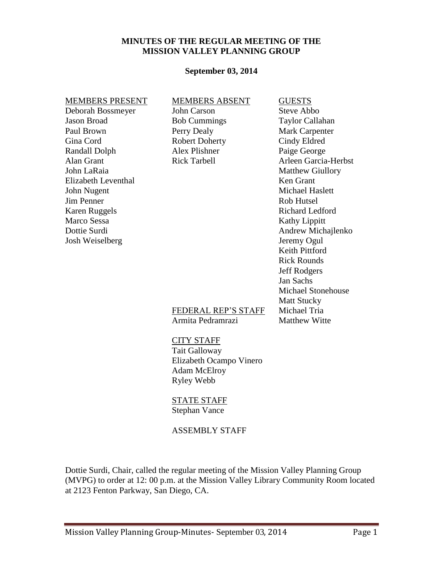### **MINUTES OF THE REGULAR MEETING OF THE MISSION VALLEY PLANNING GROUP**

#### **September 03, 2014**

# MEMBERS PRESENT MEMBERS ABSENT GUESTS Deborah Bossmeyer John Carson Steve Abbo Jason Broad Bob Cummings Taylor Callahan Paul Brown Perry Dealy Mark Carpenter Gina Cord **Robert Doherty** Cindy Eldred Randall Dolph Alex Plishner Paige George<br>
Alan Grant Rick Tarbell Arleen Garcia Alan Grant **Rick Tarbell** Arleen Garcia-Herbst John LaRaia Matthew Giullory Elizabeth Leventhal Ken Grant John Nugent Michael Haslett **Jim Penner** Rob Hutsel Karen Ruggels Richard Ledford Marco Sessa Kathy Lippitt Dottie Surdi **Andrew Michajlenko** Josh Weiselberg Jeremy Ogul Keith Pittford Rick Rounds Jeff Rodgers Jan Sachs Michael Stonehouse Matt Stucky FEDERAL REP'S STAFF Michael Tria Armita Pedramrazi Matthew Witte CITY STAFF Tait Galloway Elizabeth Ocampo Vinero Adam McElroy Ryley Webb

STATE STAFF Stephan Vance

#### ASSEMBLY STAFF

Dottie Surdi, Chair, called the regular meeting of the Mission Valley Planning Group (MVPG) to order at 12: 00 p.m. at the Mission Valley Library Community Room located at 2123 Fenton Parkway, San Diego, CA.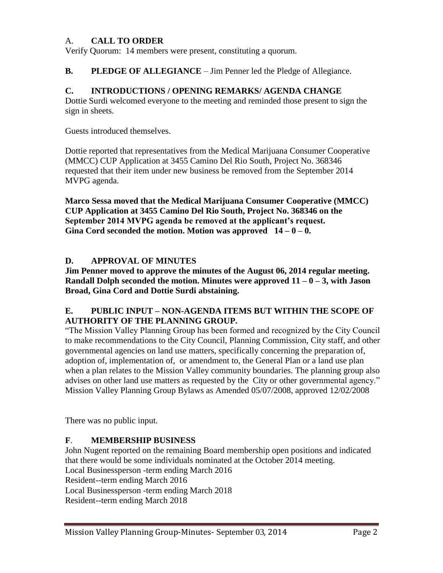### A. **CALL TO ORDER**

Verify Quorum: 14 members were present, constituting a quorum.

**B. PLEDGE OF ALLEGIANCE** – Jim Penner led the Pledge of Allegiance.

#### **C. INTRODUCTIONS / OPENING REMARKS/ AGENDA CHANGE**

Dottie Surdi welcomed everyone to the meeting and reminded those present to sign the sign in sheets.

Guests introduced themselves.

Dottie reported that representatives from the Medical Marijuana Consumer Cooperative (MMCC) CUP Application at 3455 Camino Del Rio South, Project No. 368346 requested that their item under new business be removed from the September 2014 MVPG agenda.

**Marco Sessa moved that the Medical Marijuana Consumer Cooperative (MMCC) CUP Application at 3455 Camino Del Rio South, Project No. 368346 on the September 2014 MVPG agenda be removed at the applicant's request.**  Gina Cord seconded the motion. Motion was approved  $14 - 0 - 0$ .

### **D. APPROVAL OF MINUTES**

**Jim Penner moved to approve the minutes of the August 06, 2014 regular meeting. Randall Dolph seconded the motion. Minutes were approved 11 – 0 – 3, with Jason Broad, Gina Cord and Dottie Surdi abstaining.**

#### **E. PUBLIC INPUT – NON-AGENDA ITEMS BUT WITHIN THE SCOPE OF AUTHORITY OF THE PLANNING GROUP.**

"The Mission Valley Planning Group has been formed and recognized by the City Council to make recommendations to the City Council, Planning Commission, City staff, and other governmental agencies on land use matters, specifically concerning the preparation of, adoption of, implementation of, or amendment to, the General Plan or a land use plan when a plan relates to the Mission Valley community boundaries. The planning group also advises on other land use matters as requested by the City or other governmental agency." Mission Valley Planning Group Bylaws as Amended 05/07/2008, approved 12/02/2008

There was no public input.

### **F**. **MEMBERSHIP BUSINESS**

John Nugent reported on the remaining Board membership open positions and indicated that there would be some individuals nominated at the October 2014 meeting. Local Businessperson -term ending March 2016 Resident--term ending March 2016 Local Businessperson -term ending March 2018 Resident--term ending March 2018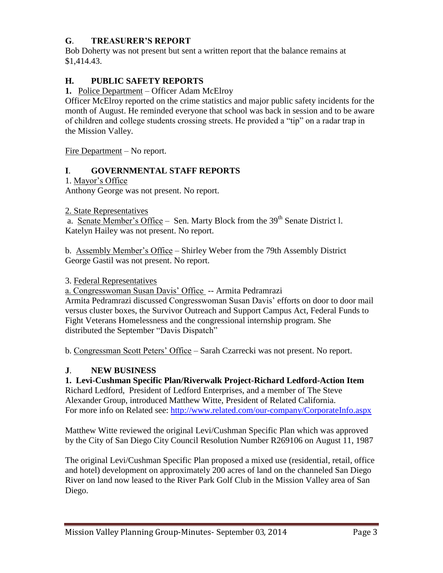# **G**. **TREASURER'S REPORT**

Bob Doherty was not present but sent a written report that the balance remains at \$1,414.43.

# **H. PUBLIC SAFETY REPORTS**

1. Police Department – Officer Adam McElroy

Officer McElroy reported on the crime statistics and major public safety incidents for the month of August. He reminded everyone that school was back in session and to be aware of children and college students crossing streets. He provided a "tip" on a radar trap in the Mission Valley.

Fire Department – No report.

### **I**. **GOVERNMENTAL STAFF REPORTS**

1. Mayor's Office

Anthony George was not present. No report.

2. State Representatives

a. Senate Member's Office – Sen. Marty Block from the 39<sup>th</sup> Senate District l. Katelyn Hailey was not present. No report.

b. Assembly Member's Office – Shirley Weber from the 79th Assembly District George Gastil was not present. No report.

3. Federal Representatives

a. Congresswoman Susan Davis' Office -- Armita Pedramrazi Armita Pedramrazi discussed Congresswoman Susan Davis' efforts on door to door mail versus cluster boxes, the Survivor Outreach and Support Campus Act, Federal Funds to Fight Veterans Homelessness and the congressional internship program. She distributed the September "Davis Dispatch"

b. Congressman Scott Peters' Office – Sarah Czarrecki was not present. No report.

### **J**. **NEW BUSINESS**

### **1. Levi-Cushman Specific Plan/Riverwalk Project-Richard Ledford-Action Item**

Richard Ledford, President of Ledford Enterprises, and a member of The Steve Alexander Group, introduced Matthew Witte, President of Related California. For more info on Related see:<http://www.related.com/our-company/CorporateInfo.aspx>

Matthew Witte reviewed the original Levi/Cushman Specific Plan which was approved by the City of San Diego City Council Resolution Number R269106 on August 11, 1987

The original Levi/Cushman Specific Plan proposed a mixed use (residential, retail, office and hotel) development on approximately 200 acres of land on the channeled San Diego River on land now leased to the River Park Golf Club in the Mission Valley area of San Diego.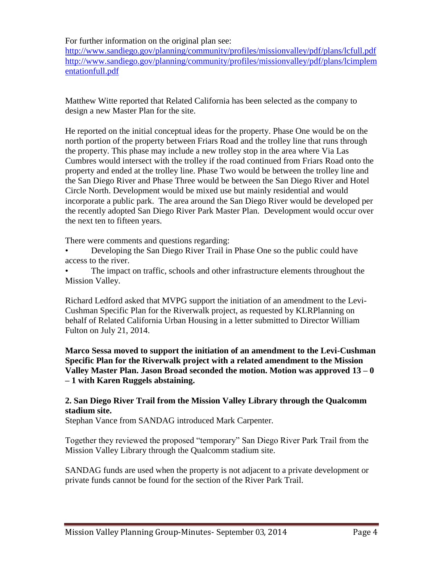For further information on the original plan see:

<http://www.sandiego.gov/planning/community/profiles/missionvalley/pdf/plans/lcfull.pdf> [http://www.sandiego.gov/planning/community/profiles/missionvalley/pdf/plans/lcimplem](http://www.sandiego.gov/planning/community/profiles/missionvalley/pdf/plans/lcimplementationfull.pdf) [entationfull.pdf](http://www.sandiego.gov/planning/community/profiles/missionvalley/pdf/plans/lcimplementationfull.pdf)

Matthew Witte reported that Related California has been selected as the company to design a new Master Plan for the site.

He reported on the initial conceptual ideas for the property. Phase One would be on the north portion of the property between Friars Road and the trolley line that runs through the property. This phase may include a new trolley stop in the area where Via Las Cumbres would intersect with the trolley if the road continued from Friars Road onto the property and ended at the trolley line. Phase Two would be between the trolley line and the San Diego River and Phase Three would be between the San Diego River and Hotel Circle North. Development would be mixed use but mainly residential and would incorporate a public park. The area around the San Diego River would be developed per the recently adopted San Diego River Park Master Plan. Development would occur over the next ten to fifteen years.

There were comments and questions regarding:

• Developing the San Diego River Trail in Phase One so the public could have access to the river.

The impact on traffic, schools and other infrastructure elements throughout the Mission Valley.

Richard Ledford asked that MVPG support the initiation of an amendment to the Levi-Cushman Specific Plan for the Riverwalk project, as requested by KLRPlanning on behalf of Related California Urban Housing in a letter submitted to Director William Fulton on July 21, 2014.

**Marco Sessa moved to support the initiation of an amendment to the Levi-Cushman Specific Plan for the Riverwalk project with a related amendment to the Mission Valley Master Plan. Jason Broad seconded the motion. Motion was approved 13 – 0 – 1 with Karen Ruggels abstaining.**

# **2. San Diego River Trail from the Mission Valley Library through the Qualcomm stadium site.**

Stephan Vance from SANDAG introduced Mark Carpenter.

Together they reviewed the proposed "temporary" San Diego River Park Trail from the Mission Valley Library through the Qualcomm stadium site.

SANDAG funds are used when the property is not adjacent to a private development or private funds cannot be found for the section of the River Park Trail.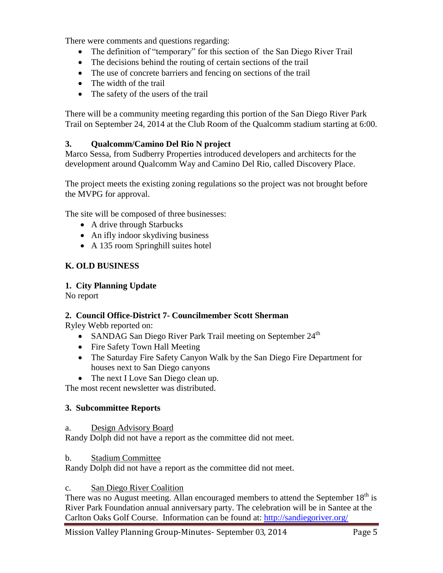There were comments and questions regarding:

- The definition of "temporary" for this section of the San Diego River Trail
- The decisions behind the routing of certain sections of the trail
- The use of concrete barriers and fencing on sections of the trail
- The width of the trail
- The safety of the users of the trail

There will be a community meeting regarding this portion of the San Diego River Park Trail on September 24, 2014 at the Club Room of the Qualcomm stadium starting at 6:00.

### **3. Qualcomm/Camino Del Rio N project**

Marco Sessa, from Sudberry Properties introduced developers and architects for the development around Qualcomm Way and Camino Del Rio, called Discovery Place.

The project meets the existing zoning regulations so the project was not brought before the MVPG for approval.

The site will be composed of three businesses:

- A drive through Starbucks
- An ifly indoor skydiving business
- A 135 room Springhill suites hotel

### **K. OLD BUSINESS**

#### **1. City Planning Update**

No report

### **2. Council Office-District 7- Councilmember Scott Sherman**

Ryley Webb reported on:

- SANDAG San Diego River Park Trail meeting on September  $24<sup>th</sup>$
- Fire Safety Town Hall Meeting
- The Saturday Fire Safety Canyon Walk by the San Diego Fire Department for houses next to San Diego canyons
- The next I Love San Diego clean up.

The most recent newsletter was distributed.

#### **3. Subcommittee Reports**

#### a. Design Advisory Board

Randy Dolph did not have a report as the committee did not meet.

#### b. Stadium Committee

Randy Dolph did not have a report as the committee did not meet.

#### c. San Diego River Coalition

There was no August meeting. Allan encouraged members to attend the September 18<sup>th</sup> is River Park Foundation annual anniversary party. The celebration will be in Santee at the Carlton Oaks Golf Course. Information can be found at: <http://sandiegoriver.org/>